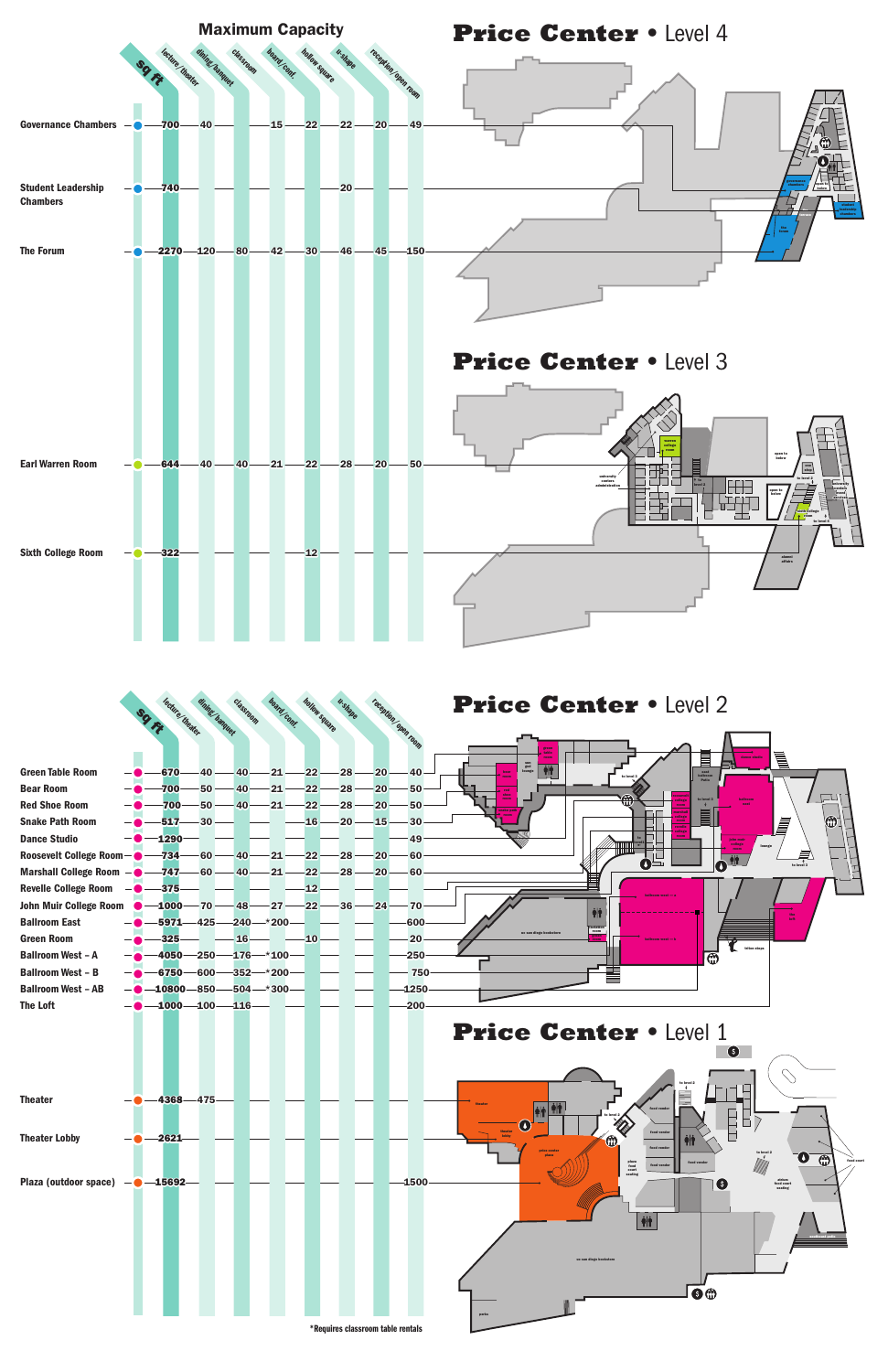